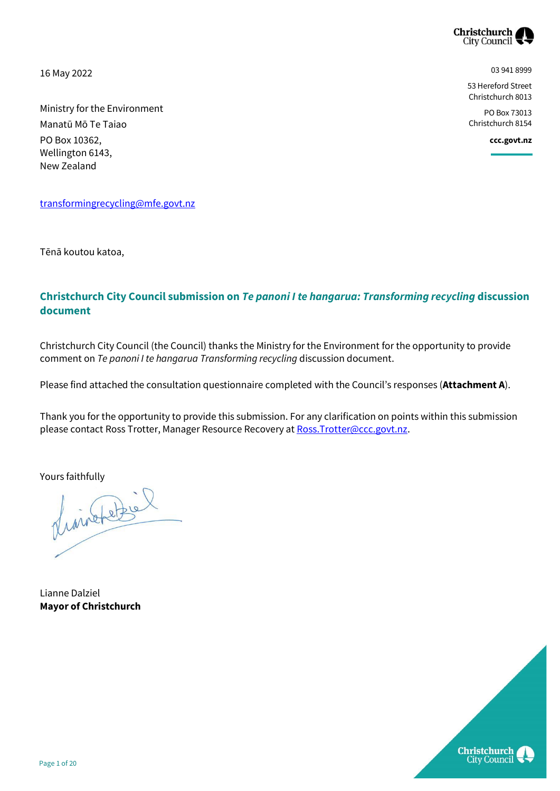

03 941 8999

**ccc.govt.nz**

53 Hereford Street Christchurch 8013 PO Box 73013 Christchurch 8154

16 May 2022

Ministry for the Environment Manatū Mō Te Taiao PO Box 10362, Wellington 6143, New Zealand

[transformingrecycling@mfe.govt.nz](mailto:transformingrecycling@mfe.govt.nz)

Tēnā koutou katoa,

#### **Christchurch City Council submission on** *Te panoni I te hangarua: Transforming recycling* **discussion document**

Christchurch City Council (the Council) thanks the Ministry for the Environment for the opportunity to provide comment on *Te panoni I te hangarua Transforming recycling* discussion document.

Please find attached the consultation questionnaire completed with the Council's responses (**Attachment A**).

Thank you for the opportunity to provide this submission. For any clarification on points within this submission please contact Ross Trotter, Manager Resource Recovery at Ross. Trotter@ccc.govt.nz.

Yours faithfully<br>pluis the filth

Lianne Dalziel **Mayor of Christchurch**

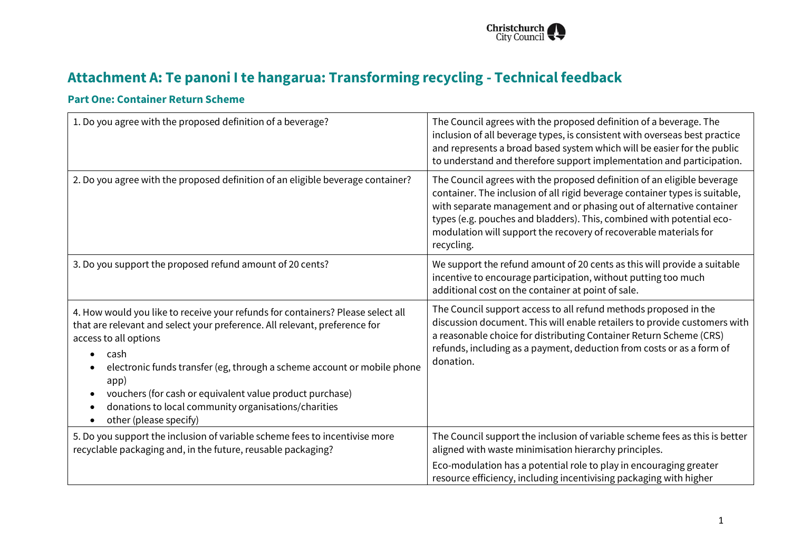

# **Attachment A: Te panoni I te hangarua: Transforming recycling - Technical feedback**

#### **Part One: Container Return Scheme**

| 1. Do you agree with the proposed definition of a beverage?                                                                                                                                                                                                                                                                                                                                                                                               | The Council agrees with the proposed definition of a beverage. The<br>inclusion of all beverage types, is consistent with overseas best practice<br>and represents a broad based system which will be easier for the public<br>to understand and therefore support implementation and participation.                                                                                       |
|-----------------------------------------------------------------------------------------------------------------------------------------------------------------------------------------------------------------------------------------------------------------------------------------------------------------------------------------------------------------------------------------------------------------------------------------------------------|--------------------------------------------------------------------------------------------------------------------------------------------------------------------------------------------------------------------------------------------------------------------------------------------------------------------------------------------------------------------------------------------|
| 2. Do you agree with the proposed definition of an eligible beverage container?                                                                                                                                                                                                                                                                                                                                                                           | The Council agrees with the proposed definition of an eligible beverage<br>container. The inclusion of all rigid beverage container types is suitable,<br>with separate management and or phasing out of alternative container<br>types (e.g. pouches and bladders). This, combined with potential eco-<br>modulation will support the recovery of recoverable materials for<br>recycling. |
| 3. Do you support the proposed refund amount of 20 cents?                                                                                                                                                                                                                                                                                                                                                                                                 | We support the refund amount of 20 cents as this will provide a suitable<br>incentive to encourage participation, without putting too much<br>additional cost on the container at point of sale.                                                                                                                                                                                           |
| 4. How would you like to receive your refunds for containers? Please select all<br>that are relevant and select your preference. All relevant, preference for<br>access to all options<br>cash<br>electronic funds transfer (eg, through a scheme account or mobile phone<br>app)<br>vouchers (for cash or equivalent value product purchase)<br>$\bullet$<br>donations to local community organisations/charities<br>$\bullet$<br>other (please specify) | The Council support access to all refund methods proposed in the<br>discussion document. This will enable retailers to provide customers with<br>a reasonable choice for distributing Container Return Scheme (CRS)<br>refunds, including as a payment, deduction from costs or as a form of<br>donation.                                                                                  |
| 5. Do you support the inclusion of variable scheme fees to incentivise more<br>recyclable packaging and, in the future, reusable packaging?                                                                                                                                                                                                                                                                                                               | The Council support the inclusion of variable scheme fees as this is better<br>aligned with waste minimisation hierarchy principles.                                                                                                                                                                                                                                                       |
|                                                                                                                                                                                                                                                                                                                                                                                                                                                           | Eco-modulation has a potential role to play in encouraging greater<br>resource efficiency, including incentivising packaging with higher                                                                                                                                                                                                                                                   |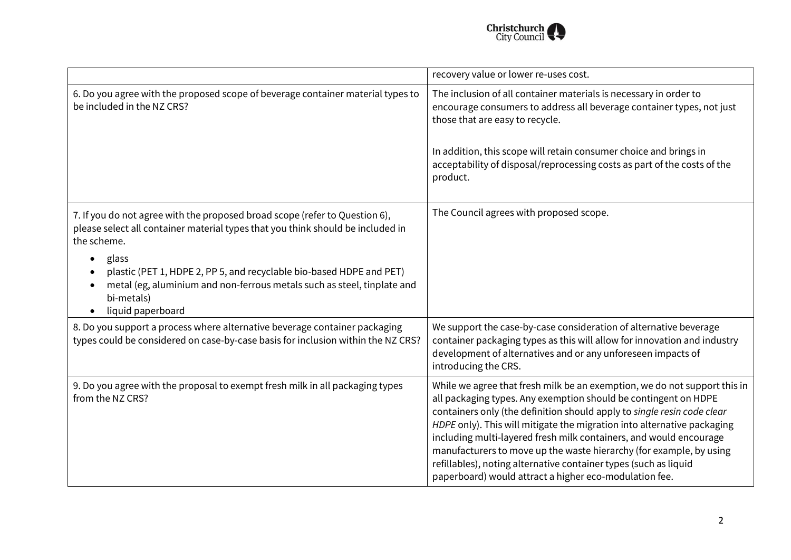

|                                                                                                                                                                                                                                    | recovery value or lower re-uses cost.                                                                                                                                                                                                                                                                                                                                                                                                                                                                                                                                         |
|------------------------------------------------------------------------------------------------------------------------------------------------------------------------------------------------------------------------------------|-------------------------------------------------------------------------------------------------------------------------------------------------------------------------------------------------------------------------------------------------------------------------------------------------------------------------------------------------------------------------------------------------------------------------------------------------------------------------------------------------------------------------------------------------------------------------------|
| 6. Do you agree with the proposed scope of beverage container material types to<br>be included in the NZ CRS?                                                                                                                      | The inclusion of all container materials is necessary in order to<br>encourage consumers to address all beverage container types, not just<br>those that are easy to recycle.                                                                                                                                                                                                                                                                                                                                                                                                 |
|                                                                                                                                                                                                                                    | In addition, this scope will retain consumer choice and brings in<br>acceptability of disposal/reprocessing costs as part of the costs of the<br>product.                                                                                                                                                                                                                                                                                                                                                                                                                     |
| 7. If you do not agree with the proposed broad scope (refer to Question 6),<br>please select all container material types that you think should be included in<br>the scheme.                                                      | The Council agrees with proposed scope.                                                                                                                                                                                                                                                                                                                                                                                                                                                                                                                                       |
| glass<br>$\bullet$<br>plastic (PET 1, HDPE 2, PP 5, and recyclable bio-based HDPE and PET)<br>metal (eg, aluminium and non-ferrous metals such as steel, tinplate and<br>$\bullet$<br>bi-metals)<br>liquid paperboard<br>$\bullet$ |                                                                                                                                                                                                                                                                                                                                                                                                                                                                                                                                                                               |
| 8. Do you support a process where alternative beverage container packaging<br>types could be considered on case-by-case basis for inclusion within the NZ CRS?                                                                     | We support the case-by-case consideration of alternative beverage<br>container packaging types as this will allow for innovation and industry<br>development of alternatives and or any unforeseen impacts of<br>introducing the CRS.                                                                                                                                                                                                                                                                                                                                         |
| 9. Do you agree with the proposal to exempt fresh milk in all packaging types<br>from the NZ CRS?                                                                                                                                  | While we agree that fresh milk be an exemption, we do not support this in<br>all packaging types. Any exemption should be contingent on HDPE<br>containers only (the definition should apply to single resin code clear<br>HDPE only). This will mitigate the migration into alternative packaging<br>including multi-layered fresh milk containers, and would encourage<br>manufacturers to move up the waste hierarchy (for example, by using<br>refillables), noting alternative container types (such as liquid<br>paperboard) would attract a higher eco-modulation fee. |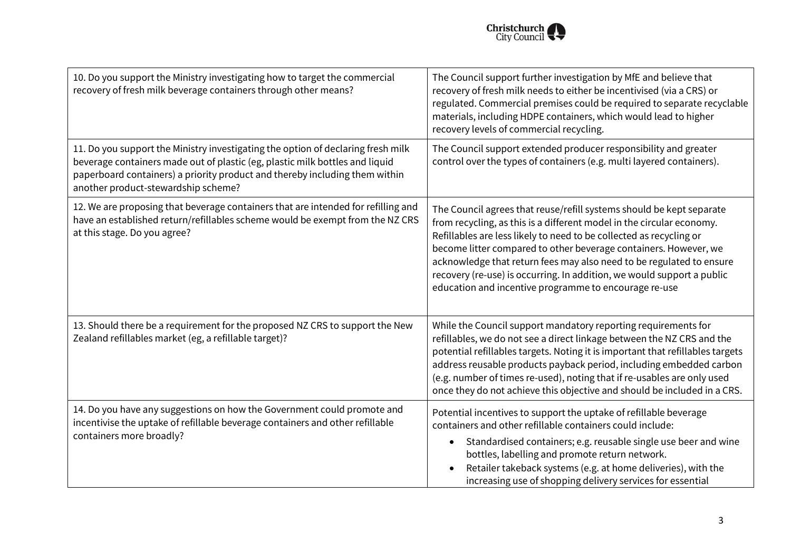

| 10. Do you support the Ministry investigating how to target the commercial<br>recovery of fresh milk beverage containers through other means?                                                                                                                                          | The Council support further investigation by MfE and believe that<br>recovery of fresh milk needs to either be incentivised (via a CRS) or<br>regulated. Commercial premises could be required to separate recyclable<br>materials, including HDPE containers, which would lead to higher<br>recovery levels of commercial recycling.                                                                                                                                                               |
|----------------------------------------------------------------------------------------------------------------------------------------------------------------------------------------------------------------------------------------------------------------------------------------|-----------------------------------------------------------------------------------------------------------------------------------------------------------------------------------------------------------------------------------------------------------------------------------------------------------------------------------------------------------------------------------------------------------------------------------------------------------------------------------------------------|
| 11. Do you support the Ministry investigating the option of declaring fresh milk<br>beverage containers made out of plastic (eg, plastic milk bottles and liquid<br>paperboard containers) a priority product and thereby including them within<br>another product-stewardship scheme? | The Council support extended producer responsibility and greater<br>control over the types of containers (e.g. multi layered containers).                                                                                                                                                                                                                                                                                                                                                           |
| 12. We are proposing that beverage containers that are intended for refilling and<br>have an established return/refillables scheme would be exempt from the NZ CRS<br>at this stage. Do you agree?                                                                                     | The Council agrees that reuse/refill systems should be kept separate<br>from recycling, as this is a different model in the circular economy.<br>Refillables are less likely to need to be collected as recycling or<br>become litter compared to other beverage containers. However, we<br>acknowledge that return fees may also need to be regulated to ensure<br>recovery (re-use) is occurring. In addition, we would support a public<br>education and incentive programme to encourage re-use |
| 13. Should there be a requirement for the proposed NZ CRS to support the New<br>Zealand refillables market (eg, a refillable target)?                                                                                                                                                  | While the Council support mandatory reporting requirements for<br>refillables, we do not see a direct linkage between the NZ CRS and the<br>potential refillables targets. Noting it is important that refillables targets<br>address reusable products payback period, including embedded carbon<br>(e.g. number of times re-used), noting that if re-usables are only used<br>once they do not achieve this objective and should be included in a CRS.                                            |
| 14. Do you have any suggestions on how the Government could promote and<br>incentivise the uptake of refillable beverage containers and other refillable<br>containers more broadly?                                                                                                   | Potential incentives to support the uptake of refillable beverage<br>containers and other refillable containers could include:<br>Standardised containers; e.g. reusable single use beer and wine<br>$\bullet$<br>bottles, labelling and promote return network.<br>Retailer takeback systems (e.g. at home deliveries), with the<br>increasing use of shopping delivery services for essential                                                                                                     |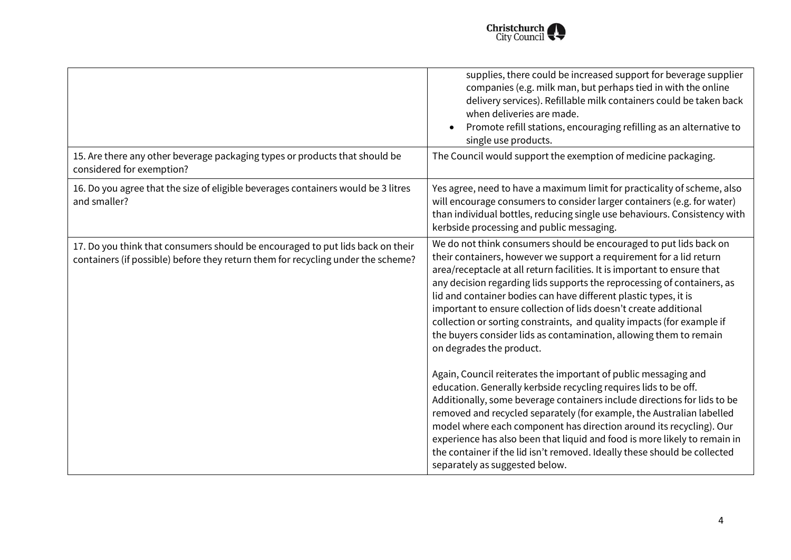

|                                                                                                                                                                    | supplies, there could be increased support for beverage supplier<br>companies (e.g. milk man, but perhaps tied in with the online<br>delivery services). Refillable milk containers could be taken back<br>when deliveries are made.<br>Promote refill stations, encouraging refilling as an alternative to<br>single use products.                                                                                                                                                                                                                                                                                                                                                                                                                                                                                                                                                                                                                                                                                                                                                                                                                                                 |
|--------------------------------------------------------------------------------------------------------------------------------------------------------------------|-------------------------------------------------------------------------------------------------------------------------------------------------------------------------------------------------------------------------------------------------------------------------------------------------------------------------------------------------------------------------------------------------------------------------------------------------------------------------------------------------------------------------------------------------------------------------------------------------------------------------------------------------------------------------------------------------------------------------------------------------------------------------------------------------------------------------------------------------------------------------------------------------------------------------------------------------------------------------------------------------------------------------------------------------------------------------------------------------------------------------------------------------------------------------------------|
| 15. Are there any other beverage packaging types or products that should be<br>considered for exemption?                                                           | The Council would support the exemption of medicine packaging.                                                                                                                                                                                                                                                                                                                                                                                                                                                                                                                                                                                                                                                                                                                                                                                                                                                                                                                                                                                                                                                                                                                      |
| 16. Do you agree that the size of eligible beverages containers would be 3 litres<br>and smaller?                                                                  | Yes agree, need to have a maximum limit for practicality of scheme, also<br>will encourage consumers to consider larger containers (e.g. for water)<br>than individual bottles, reducing single use behaviours. Consistency with<br>kerbside processing and public messaging.                                                                                                                                                                                                                                                                                                                                                                                                                                                                                                                                                                                                                                                                                                                                                                                                                                                                                                       |
| 17. Do you think that consumers should be encouraged to put lids back on their<br>containers (if possible) before they return them for recycling under the scheme? | We do not think consumers should be encouraged to put lids back on<br>their containers, however we support a requirement for a lid return<br>area/receptacle at all return facilities. It is important to ensure that<br>any decision regarding lids supports the reprocessing of containers, as<br>lid and container bodies can have different plastic types, it is<br>important to ensure collection of lids doesn't create additional<br>collection or sorting constraints, and quality impacts (for example if<br>the buyers consider lids as contamination, allowing them to remain<br>on degrades the product.<br>Again, Council reiterates the important of public messaging and<br>education. Generally kerbside recycling requires lids to be off.<br>Additionally, some beverage containers include directions for lids to be<br>removed and recycled separately (for example, the Australian labelled<br>model where each component has direction around its recycling). Our<br>experience has also been that liquid and food is more likely to remain in<br>the container if the lid isn't removed. Ideally these should be collected<br>separately as suggested below. |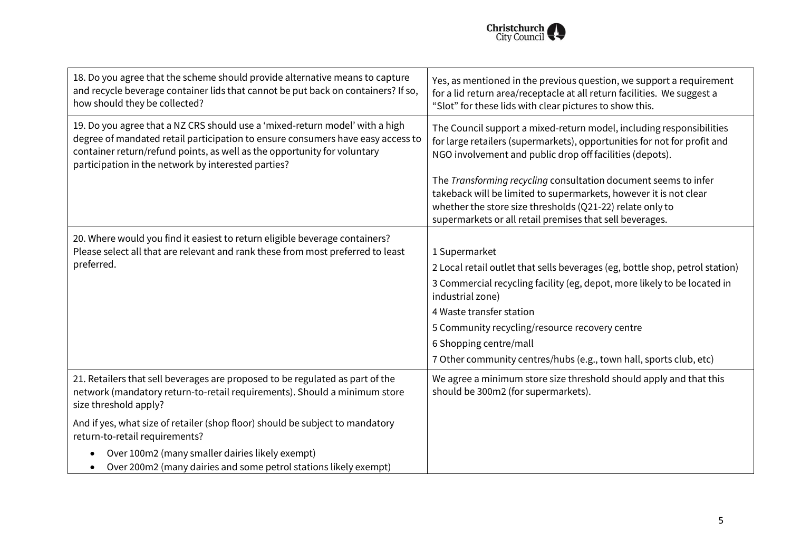

| 18. Do you agree that the scheme should provide alternative means to capture<br>and recycle beverage container lids that cannot be put back on containers? If so,<br>how should they be collected?                                                                                                 | Yes, as mentioned in the previous question, we support a requirement<br>for a lid return area/receptacle at all return facilities. We suggest a<br>"Slot" for these lids with clear pictures to show this.                                                    |
|----------------------------------------------------------------------------------------------------------------------------------------------------------------------------------------------------------------------------------------------------------------------------------------------------|---------------------------------------------------------------------------------------------------------------------------------------------------------------------------------------------------------------------------------------------------------------|
| 19. Do you agree that a NZ CRS should use a 'mixed-return model' with a high<br>degree of mandated retail participation to ensure consumers have easy access to<br>container return/refund points, as well as the opportunity for voluntary<br>participation in the network by interested parties? | The Council support a mixed-return model, including responsibilities<br>for large retailers (supermarkets), opportunities for not for profit and<br>NGO involvement and public drop off facilities (depots).                                                  |
|                                                                                                                                                                                                                                                                                                    | The Transforming recycling consultation document seems to infer<br>takeback will be limited to supermarkets, however it is not clear<br>whether the store size thresholds (Q21-22) relate only to<br>supermarkets or all retail premises that sell beverages. |
| 20. Where would you find it easiest to return eligible beverage containers?                                                                                                                                                                                                                        |                                                                                                                                                                                                                                                               |
| Please select all that are relevant and rank these from most preferred to least                                                                                                                                                                                                                    | 1 Supermarket                                                                                                                                                                                                                                                 |
| preferred.                                                                                                                                                                                                                                                                                         | 2 Local retail outlet that sells beverages (eg, bottle shop, petrol station)                                                                                                                                                                                  |
|                                                                                                                                                                                                                                                                                                    | 3 Commercial recycling facility (eg, depot, more likely to be located in<br>industrial zone)                                                                                                                                                                  |
|                                                                                                                                                                                                                                                                                                    | 4 Waste transfer station                                                                                                                                                                                                                                      |
|                                                                                                                                                                                                                                                                                                    | 5 Community recycling/resource recovery centre                                                                                                                                                                                                                |
|                                                                                                                                                                                                                                                                                                    | 6 Shopping centre/mall                                                                                                                                                                                                                                        |
|                                                                                                                                                                                                                                                                                                    | 7 Other community centres/hubs (e.g., town hall, sports club, etc)                                                                                                                                                                                            |
| 21. Retailers that sell beverages are proposed to be regulated as part of the<br>network (mandatory return-to-retail requirements). Should a minimum store<br>size threshold apply?                                                                                                                | We agree a minimum store size threshold should apply and that this<br>should be 300m2 (for supermarkets).                                                                                                                                                     |
| And if yes, what size of retailer (shop floor) should be subject to mandatory<br>return-to-retail requirements?                                                                                                                                                                                    |                                                                                                                                                                                                                                                               |
| Over 100m2 (many smaller dairies likely exempt)<br>Over 200m2 (many dairies and some petrol stations likely exempt)                                                                                                                                                                                |                                                                                                                                                                                                                                                               |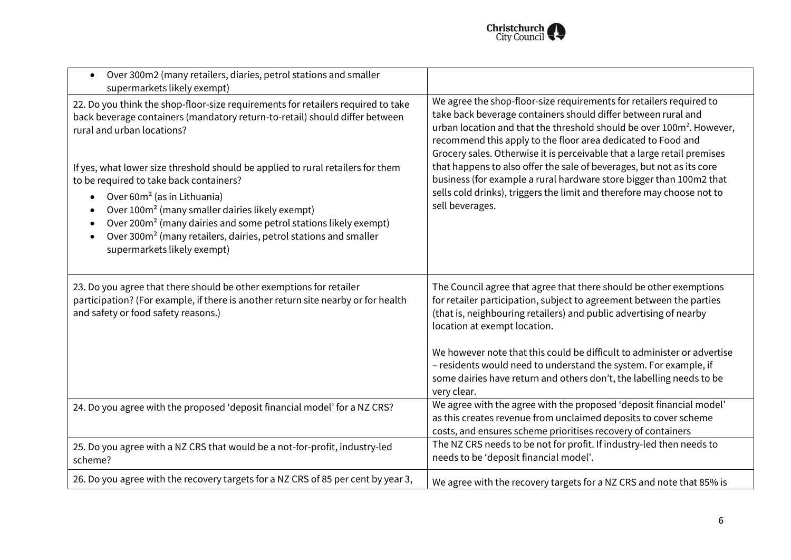

| Over 300m2 (many retailers, diaries, petrol stations and smaller<br>$\bullet$<br>supermarkets likely exempt)                                                                                                                                                                                                                                                                                                                                                                                                                                                                                                                                                                             |                                                                                                                                                                                                                                                                                                                                                                                                                                                                                                                                                                                                                   |
|------------------------------------------------------------------------------------------------------------------------------------------------------------------------------------------------------------------------------------------------------------------------------------------------------------------------------------------------------------------------------------------------------------------------------------------------------------------------------------------------------------------------------------------------------------------------------------------------------------------------------------------------------------------------------------------|-------------------------------------------------------------------------------------------------------------------------------------------------------------------------------------------------------------------------------------------------------------------------------------------------------------------------------------------------------------------------------------------------------------------------------------------------------------------------------------------------------------------------------------------------------------------------------------------------------------------|
| 22. Do you think the shop-floor-size requirements for retailers required to take<br>back beverage containers (mandatory return-to-retail) should differ between<br>rural and urban locations?<br>If yes, what lower size threshold should be applied to rural retailers for them<br>to be required to take back containers?<br>Over 60m <sup>2</sup> (as in Lithuania)<br>$\bullet$<br>Over 100m <sup>2</sup> (many smaller dairies likely exempt)<br>$\bullet$<br>Over 200m <sup>2</sup> (many dairies and some petrol stations likely exempt)<br>$\bullet$<br>Over 300m <sup>2</sup> (many retailers, dairies, petrol stations and smaller<br>$\bullet$<br>supermarkets likely exempt) | We agree the shop-floor-size requirements for retailers required to<br>take back beverage containers should differ between rural and<br>urban location and that the threshold should be over 100m <sup>2</sup> . However,<br>recommend this apply to the floor area dedicated to Food and<br>Grocery sales. Otherwise it is perceivable that a large retail premises<br>that happens to also offer the sale of beverages, but not as its core<br>business (for example a rural hardware store bigger than 100m2 that<br>sells cold drinks), triggers the limit and therefore may choose not to<br>sell beverages. |
| 23. Do you agree that there should be other exemptions for retailer<br>participation? (For example, if there is another return site nearby or for health<br>and safety or food safety reasons.)                                                                                                                                                                                                                                                                                                                                                                                                                                                                                          | The Council agree that agree that there should be other exemptions<br>for retailer participation, subject to agreement between the parties<br>(that is, neighbouring retailers) and public advertising of nearby<br>location at exempt location.<br>We however note that this could be difficult to administer or advertise<br>- residents would need to understand the system. For example, if<br>some dairies have return and others don't, the labelling needs to be                                                                                                                                           |
| 24. Do you agree with the proposed 'deposit financial model' for a NZ CRS?                                                                                                                                                                                                                                                                                                                                                                                                                                                                                                                                                                                                               | very clear.<br>We agree with the agree with the proposed 'deposit financial model'<br>as this creates revenue from unclaimed deposits to cover scheme<br>costs, and ensures scheme prioritises recovery of containers                                                                                                                                                                                                                                                                                                                                                                                             |
| 25. Do you agree with a NZ CRS that would be a not-for-profit, industry-led<br>scheme?                                                                                                                                                                                                                                                                                                                                                                                                                                                                                                                                                                                                   | The NZ CRS needs to be not for profit. If industry-led then needs to<br>needs to be 'deposit financial model'.                                                                                                                                                                                                                                                                                                                                                                                                                                                                                                    |
| 26. Do you agree with the recovery targets for a NZ CRS of 85 per cent by year 3,                                                                                                                                                                                                                                                                                                                                                                                                                                                                                                                                                                                                        | We agree with the recovery targets for a NZ CRS and note that 85% is                                                                                                                                                                                                                                                                                                                                                                                                                                                                                                                                              |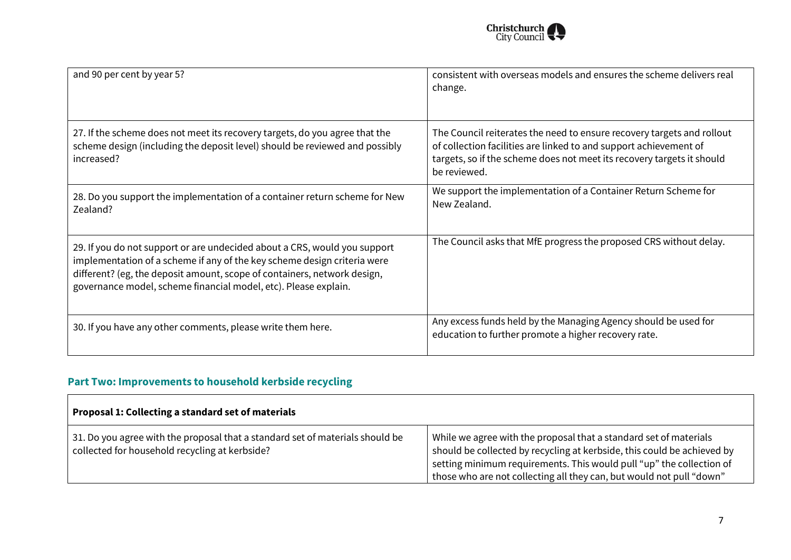

| and 90 per cent by year 5?                                                                                                                                                                                                                                                                           | consistent with overseas models and ensures the scheme delivers real<br>change.                                                                                                                                                       |
|------------------------------------------------------------------------------------------------------------------------------------------------------------------------------------------------------------------------------------------------------------------------------------------------------|---------------------------------------------------------------------------------------------------------------------------------------------------------------------------------------------------------------------------------------|
| 27. If the scheme does not meet its recovery targets, do you agree that the<br>scheme design (including the deposit level) should be reviewed and possibly<br>increased?                                                                                                                             | The Council reiterates the need to ensure recovery targets and rollout<br>of collection facilities are linked to and support achievement of<br>targets, so if the scheme does not meet its recovery targets it should<br>be reviewed. |
| 28. Do you support the implementation of a container return scheme for New<br>Zealand?                                                                                                                                                                                                               | We support the implementation of a Container Return Scheme for<br>New Zealand.                                                                                                                                                        |
| 29. If you do not support or are undecided about a CRS, would you support<br>implementation of a scheme if any of the key scheme design criteria were<br>different? (eg, the deposit amount, scope of containers, network design,<br>governance model, scheme financial model, etc). Please explain. | The Council asks that MfE progress the proposed CRS without delay.                                                                                                                                                                    |
| 30. If you have any other comments, please write them here.                                                                                                                                                                                                                                          | Any excess funds held by the Managing Agency should be used for<br>education to further promote a higher recovery rate.                                                                                                               |

## **Part Two: Improvements to household kerbside recycling**

| Proposal 1: Collecting a standard set of materials                                                                              |                                                                                                                                                                                                                                                                                              |
|---------------------------------------------------------------------------------------------------------------------------------|----------------------------------------------------------------------------------------------------------------------------------------------------------------------------------------------------------------------------------------------------------------------------------------------|
| 31. Do you agree with the proposal that a standard set of materials should be<br>collected for household recycling at kerbside? | While we agree with the proposal that a standard set of materials<br>should be collected by recycling at kerbside, this could be achieved by<br>setting minimum requirements. This would pull "up" the collection of<br>those who are not collecting all they can, but would not pull "down" |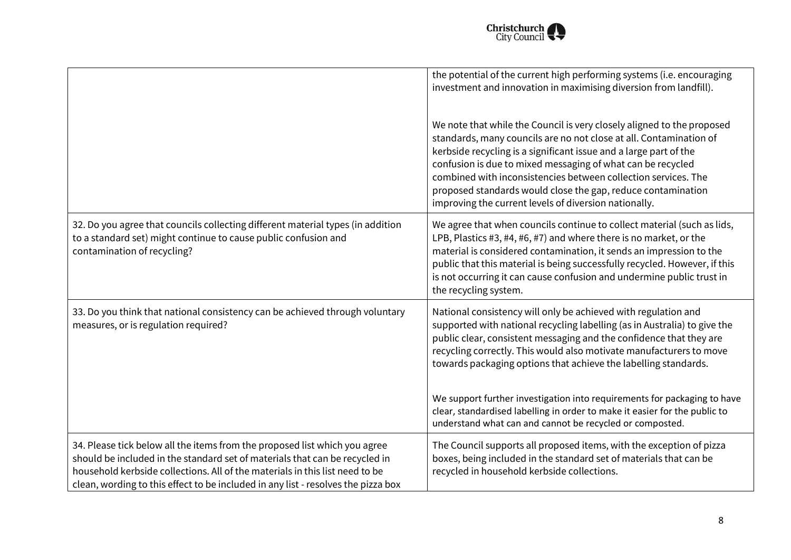

|                                                                                                                                                                                                                                                                                                                                | the potential of the current high performing systems (i.e. encouraging<br>investment and innovation in maximising diversion from landfill).                                                                                                                                                                                                                                                                                                                                 |
|--------------------------------------------------------------------------------------------------------------------------------------------------------------------------------------------------------------------------------------------------------------------------------------------------------------------------------|-----------------------------------------------------------------------------------------------------------------------------------------------------------------------------------------------------------------------------------------------------------------------------------------------------------------------------------------------------------------------------------------------------------------------------------------------------------------------------|
|                                                                                                                                                                                                                                                                                                                                | We note that while the Council is very closely aligned to the proposed<br>standards, many councils are no not close at all. Contamination of<br>kerbside recycling is a significant issue and a large part of the<br>confusion is due to mixed messaging of what can be recycled<br>combined with inconsistencies between collection services. The<br>proposed standards would close the gap, reduce contamination<br>improving the current levels of diversion nationally. |
| 32. Do you agree that councils collecting different material types (in addition<br>to a standard set) might continue to cause public confusion and<br>contamination of recycling?                                                                                                                                              | We agree that when councils continue to collect material (such as lids,<br>LPB, Plastics #3, #4, #6, #7) and where there is no market, or the<br>material is considered contamination, it sends an impression to the<br>public that this material is being successfully recycled. However, if this<br>is not occurring it can cause confusion and undermine public trust in<br>the recycling system.                                                                        |
| 33. Do you think that national consistency can be achieved through voluntary<br>measures, or is regulation required?                                                                                                                                                                                                           | National consistency will only be achieved with regulation and<br>supported with national recycling labelling (as in Australia) to give the<br>public clear, consistent messaging and the confidence that they are<br>recycling correctly. This would also motivate manufacturers to move<br>towards packaging options that achieve the labelling standards.<br>We support further investigation into requirements for packaging to have                                    |
|                                                                                                                                                                                                                                                                                                                                | clear, standardised labelling in order to make it easier for the public to<br>understand what can and cannot be recycled or composted.                                                                                                                                                                                                                                                                                                                                      |
| 34. Please tick below all the items from the proposed list which you agree<br>should be included in the standard set of materials that can be recycled in<br>household kerbside collections. All of the materials in this list need to be<br>clean, wording to this effect to be included in any list - resolves the pizza box | The Council supports all proposed items, with the exception of pizza<br>boxes, being included in the standard set of materials that can be<br>recycled in household kerbside collections.                                                                                                                                                                                                                                                                                   |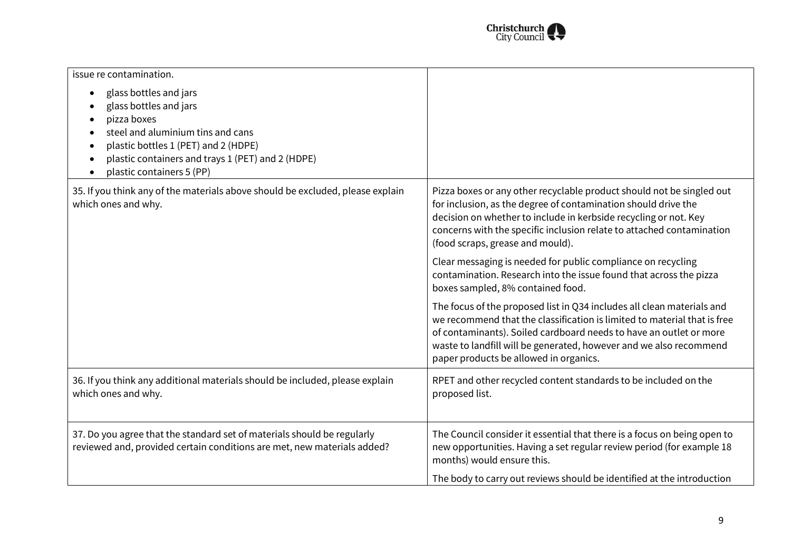

| issue re contamination.                                                                                                                                                                                                                                                            |                                                                                                                                                                                                                                                                                                                                          |
|------------------------------------------------------------------------------------------------------------------------------------------------------------------------------------------------------------------------------------------------------------------------------------|------------------------------------------------------------------------------------------------------------------------------------------------------------------------------------------------------------------------------------------------------------------------------------------------------------------------------------------|
| glass bottles and jars<br>$\bullet$<br>glass bottles and jars<br>pizza boxes<br>steel and aluminium tins and cans<br>plastic bottles 1 (PET) and 2 (HDPE)<br>$\bullet$<br>plastic containers and trays 1 (PET) and 2 (HDPE)<br>$\bullet$<br>plastic containers 5 (PP)<br>$\bullet$ |                                                                                                                                                                                                                                                                                                                                          |
| 35. If you think any of the materials above should be excluded, please explain<br>which ones and why.                                                                                                                                                                              | Pizza boxes or any other recyclable product should not be singled out<br>for inclusion, as the degree of contamination should drive the<br>decision on whether to include in kerbside recycling or not. Key<br>concerns with the specific inclusion relate to attached contamination<br>(food scraps, grease and mould).                 |
|                                                                                                                                                                                                                                                                                    | Clear messaging is needed for public compliance on recycling<br>contamination. Research into the issue found that across the pizza<br>boxes sampled, 8% contained food.                                                                                                                                                                  |
|                                                                                                                                                                                                                                                                                    | The focus of the proposed list in Q34 includes all clean materials and<br>we recommend that the classification is limited to material that is free<br>of contaminants). Soiled cardboard needs to have an outlet or more<br>waste to landfill will be generated, however and we also recommend<br>paper products be allowed in organics. |
| 36. If you think any additional materials should be included, please explain<br>which ones and why.                                                                                                                                                                                | RPET and other recycled content standards to be included on the<br>proposed list.                                                                                                                                                                                                                                                        |
| 37. Do you agree that the standard set of materials should be regularly<br>reviewed and, provided certain conditions are met, new materials added?                                                                                                                                 | The Council consider it essential that there is a focus on being open to<br>new opportunities. Having a set regular review period (for example 18<br>months) would ensure this.                                                                                                                                                          |
|                                                                                                                                                                                                                                                                                    | The body to carry out reviews should be identified at the introduction                                                                                                                                                                                                                                                                   |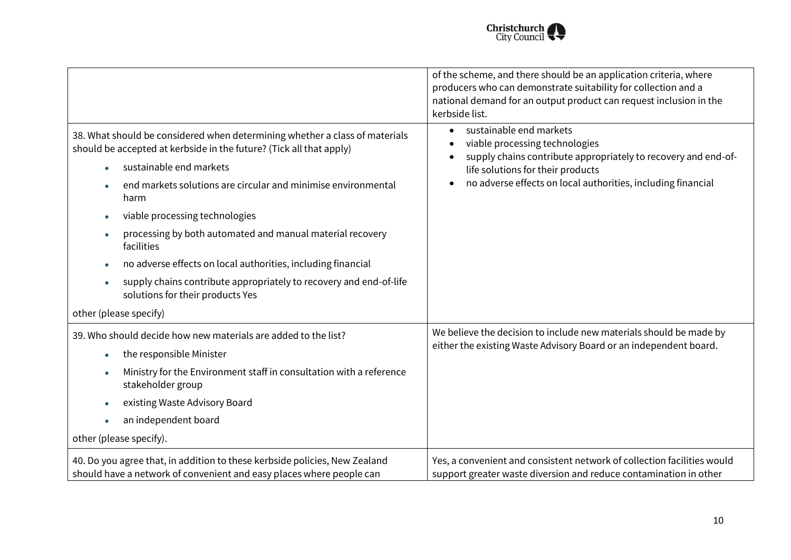

|                                                                                                                                                                                                                                                                                                                                                                                                                                                                                                                                                                         | of the scheme, and there should be an application criteria, where<br>producers who can demonstrate suitability for collection and a<br>national demand for an output product can request inclusion in the<br>kerbside list.                   |
|-------------------------------------------------------------------------------------------------------------------------------------------------------------------------------------------------------------------------------------------------------------------------------------------------------------------------------------------------------------------------------------------------------------------------------------------------------------------------------------------------------------------------------------------------------------------------|-----------------------------------------------------------------------------------------------------------------------------------------------------------------------------------------------------------------------------------------------|
| 38. What should be considered when determining whether a class of materials<br>should be accepted at kerbside in the future? (Tick all that apply)<br>sustainable end markets<br>end markets solutions are circular and minimise environmental<br>harm<br>viable processing technologies<br>processing by both automated and manual material recovery<br>facilities<br>no adverse effects on local authorities, including financial<br>supply chains contribute appropriately to recovery and end-of-life<br>solutions for their products Yes<br>other (please specify) | sustainable end markets<br>$\bullet$<br>viable processing technologies<br>supply chains contribute appropriately to recovery and end-of-<br>life solutions for their products<br>no adverse effects on local authorities, including financial |
| 39. Who should decide how new materials are added to the list?<br>the responsible Minister<br>Ministry for the Environment staff in consultation with a reference<br>stakeholder group<br>existing Waste Advisory Board<br>an independent board<br>other (please specify).                                                                                                                                                                                                                                                                                              | We believe the decision to include new materials should be made by<br>either the existing Waste Advisory Board or an independent board.                                                                                                       |
| 40. Do you agree that, in addition to these kerbside policies, New Zealand<br>should have a network of convenient and easy places where people can                                                                                                                                                                                                                                                                                                                                                                                                                      | Yes, a convenient and consistent network of collection facilities would<br>support greater waste diversion and reduce contamination in other                                                                                                  |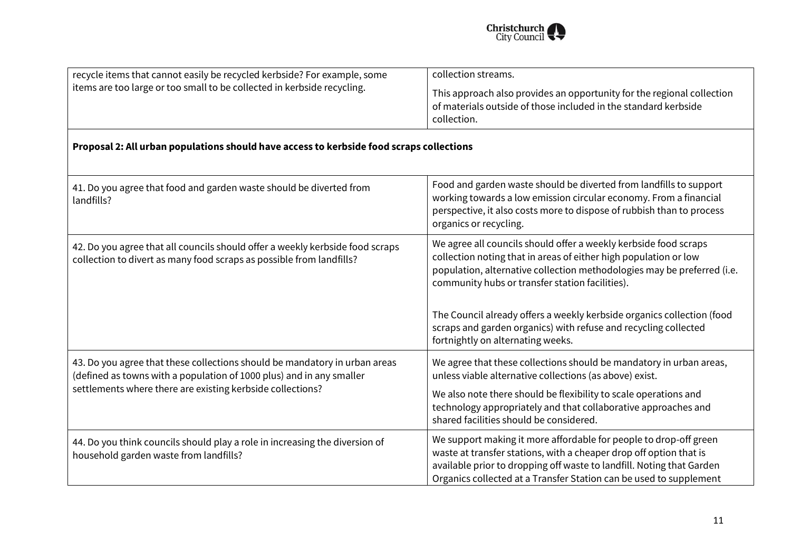

| recycle items that cannot easily be recycled kerbside? For example, some<br>items are too large or too small to be collected in kerbside recycling.                                                              | collection streams.                                                                                                                                                                                                                                                                    |
|------------------------------------------------------------------------------------------------------------------------------------------------------------------------------------------------------------------|----------------------------------------------------------------------------------------------------------------------------------------------------------------------------------------------------------------------------------------------------------------------------------------|
|                                                                                                                                                                                                                  | This approach also provides an opportunity for the regional collection<br>of materials outside of those included in the standard kerbside<br>collection.                                                                                                                               |
| Proposal 2: All urban populations should have access to kerbside food scraps collections                                                                                                                         |                                                                                                                                                                                                                                                                                        |
| 41. Do you agree that food and garden waste should be diverted from<br>landfills?                                                                                                                                | Food and garden waste should be diverted from landfills to support<br>working towards a low emission circular economy. From a financial<br>perspective, it also costs more to dispose of rubbish than to process<br>organics or recycling.                                             |
| 42. Do you agree that all councils should offer a weekly kerbside food scraps<br>collection to divert as many food scraps as possible from landfills?                                                            | We agree all councils should offer a weekly kerbside food scraps<br>collection noting that in areas of either high population or low<br>population, alternative collection methodologies may be preferred (i.e.<br>community hubs or transfer station facilities).                     |
|                                                                                                                                                                                                                  | The Council already offers a weekly kerbside organics collection (food<br>scraps and garden organics) with refuse and recycling collected<br>fortnightly on alternating weeks.                                                                                                         |
| 43. Do you agree that these collections should be mandatory in urban areas<br>(defined as towns with a population of 1000 plus) and in any smaller<br>settlements where there are existing kerbside collections? | We agree that these collections should be mandatory in urban areas,<br>unless viable alternative collections (as above) exist.                                                                                                                                                         |
|                                                                                                                                                                                                                  | We also note there should be flexibility to scale operations and<br>technology appropriately and that collaborative approaches and<br>shared facilities should be considered.                                                                                                          |
| 44. Do you think councils should play a role in increasing the diversion of<br>household garden waste from landfills?                                                                                            | We support making it more affordable for people to drop-off green<br>waste at transfer stations, with a cheaper drop off option that is<br>available prior to dropping off waste to landfill. Noting that Garden<br>Organics collected at a Transfer Station can be used to supplement |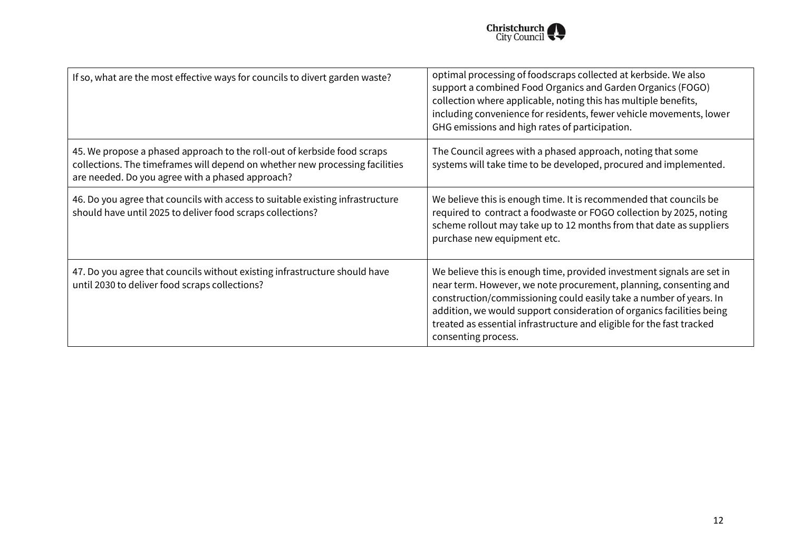

| If so, what are the most effective ways for councils to divert garden waste?                                                                                                                                 | optimal processing of foodscraps collected at kerbside. We also<br>support a combined Food Organics and Garden Organics (FOGO)<br>collection where applicable, noting this has multiple benefits,<br>including convenience for residents, fewer vehicle movements, lower<br>GHG emissions and high rates of participation.                                                                 |
|--------------------------------------------------------------------------------------------------------------------------------------------------------------------------------------------------------------|--------------------------------------------------------------------------------------------------------------------------------------------------------------------------------------------------------------------------------------------------------------------------------------------------------------------------------------------------------------------------------------------|
| 45. We propose a phased approach to the roll-out of kerbside food scraps<br>collections. The timeframes will depend on whether new processing facilities<br>are needed. Do you agree with a phased approach? | The Council agrees with a phased approach, noting that some<br>systems will take time to be developed, procured and implemented.                                                                                                                                                                                                                                                           |
| 46. Do you agree that councils with access to suitable existing infrastructure<br>should have until 2025 to deliver food scraps collections?                                                                 | We believe this is enough time. It is recommended that councils be<br>required to contract a foodwaste or FOGO collection by 2025, noting<br>scheme rollout may take up to 12 months from that date as suppliers<br>purchase new equipment etc.                                                                                                                                            |
| 47. Do you agree that councils without existing infrastructure should have<br>until 2030 to deliver food scraps collections?                                                                                 | We believe this is enough time, provided investment signals are set in<br>near term. However, we note procurement, planning, consenting and<br>construction/commissioning could easily take a number of years. In<br>addition, we would support consideration of organics facilities being<br>treated as essential infrastructure and eligible for the fast tracked<br>consenting process. |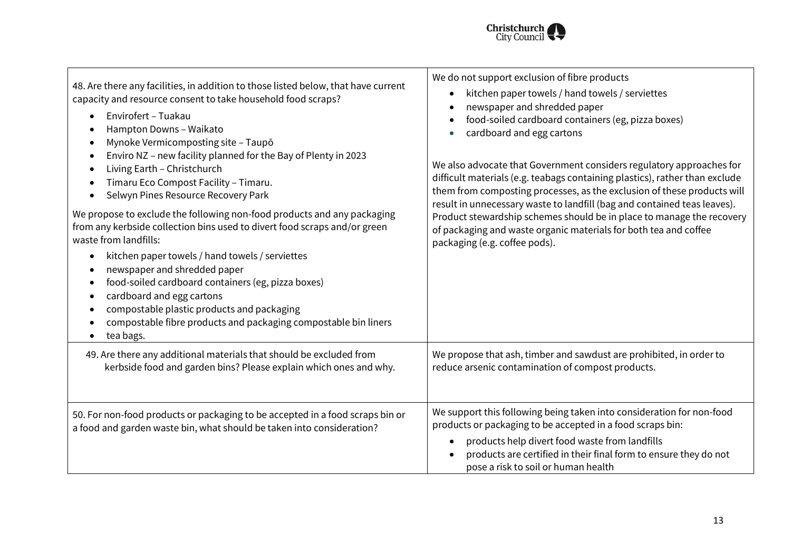

| 48. Are there any facilities, in addition to those listed below, that have current<br>capacity and resource consent to take household food scraps?<br>Envirofert - Tuakau<br>$\bullet$<br>Hampton Downs - Waikato<br>$\bullet$<br>Mynoke Vermicomposting site - Taupō<br>$\bullet$<br>Enviro NZ - new facility planned for the Bay of Plenty in 2023<br>$\bullet$<br>Living Earth - Christchurch<br>$\bullet$<br>Timaru Eco Compost Facility - Timaru.<br>٠<br>Selwyn Pines Resource Recovery Park<br>$\bullet$<br>We propose to exclude the following non-food products and any packaging<br>from any kerbside collection bins used to divert food scraps and/or green<br>waste from landfills:<br>kitchen paper towels / hand towels / serviettes<br>$\bullet$<br>newspaper and shredded paper<br>٠<br>food-soiled cardboard containers (eg, pizza boxes)<br>٠<br>cardboard and egg cartons<br>٠<br>compostable plastic products and packaging<br>٠<br>compostable fibre products and packaging compostable bin liners<br>٠<br>tea bags.<br>$\bullet$ | We do not support exclusion of fibre products<br>kitchen paper towels / hand towels / serviettes<br>$\bullet$<br>newspaper and shredded paper<br>food-soiled cardboard containers (eg, pizza boxes)<br>$\bullet$<br>cardboard and egg cartons<br>$\bullet$<br>We also advocate that Government considers regulatory approaches for<br>difficult materials (e.g. teabags containing plastics), rather than exclude<br>them from composting processes, as the exclusion of these products will<br>result in unnecessary waste to landfill (bag and contained teas leaves).<br>Product stewardship schemes should be in place to manage the recovery<br>of packaging and waste organic materials for both tea and coffee<br>packaging (e.g. coffee pods). |
|---------------------------------------------------------------------------------------------------------------------------------------------------------------------------------------------------------------------------------------------------------------------------------------------------------------------------------------------------------------------------------------------------------------------------------------------------------------------------------------------------------------------------------------------------------------------------------------------------------------------------------------------------------------------------------------------------------------------------------------------------------------------------------------------------------------------------------------------------------------------------------------------------------------------------------------------------------------------------------------------------------------------------------------------------------|--------------------------------------------------------------------------------------------------------------------------------------------------------------------------------------------------------------------------------------------------------------------------------------------------------------------------------------------------------------------------------------------------------------------------------------------------------------------------------------------------------------------------------------------------------------------------------------------------------------------------------------------------------------------------------------------------------------------------------------------------------|
| 49. Are there any additional materials that should be excluded from<br>kerbside food and garden bins? Please explain which ones and why.                                                                                                                                                                                                                                                                                                                                                                                                                                                                                                                                                                                                                                                                                                                                                                                                                                                                                                                | We propose that ash, timber and sawdust are prohibited, in order to<br>reduce arsenic contamination of compost products.                                                                                                                                                                                                                                                                                                                                                                                                                                                                                                                                                                                                                               |
| 50. For non-food products or packaging to be accepted in a food scraps bin or<br>a food and garden waste bin, what should be taken into consideration?                                                                                                                                                                                                                                                                                                                                                                                                                                                                                                                                                                                                                                                                                                                                                                                                                                                                                                  | We support this following being taken into consideration for non-food<br>products or packaging to be accepted in a food scraps bin:<br>products help divert food waste from landfills<br>$\bullet$<br>products are certified in their final form to ensure they do not<br>pose a risk to soil or human health                                                                                                                                                                                                                                                                                                                                                                                                                                          |

 $\Gamma$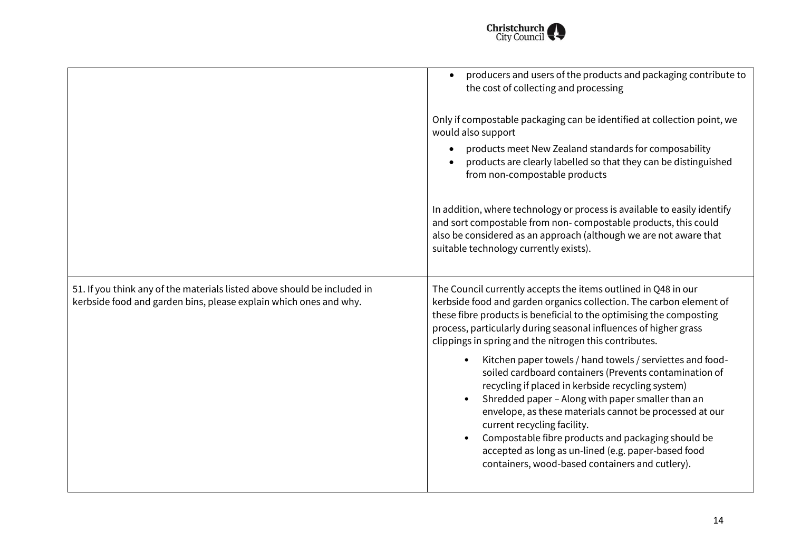

| producers and users of the products and packaging contribute to<br>the cost of collecting and processing                                                                                                                                                                                                                                                                                                                                                                                |
|-----------------------------------------------------------------------------------------------------------------------------------------------------------------------------------------------------------------------------------------------------------------------------------------------------------------------------------------------------------------------------------------------------------------------------------------------------------------------------------------|
| Only if compostable packaging can be identified at collection point, we<br>would also support                                                                                                                                                                                                                                                                                                                                                                                           |
| products meet New Zealand standards for composability<br>products are clearly labelled so that they can be distinguished<br>from non-compostable products                                                                                                                                                                                                                                                                                                                               |
| In addition, where technology or process is available to easily identify<br>and sort compostable from non-compostable products, this could<br>also be considered as an approach (although we are not aware that<br>suitable technology currently exists).                                                                                                                                                                                                                               |
| The Council currently accepts the items outlined in Q48 in our<br>kerbside food and garden organics collection. The carbon element of<br>these fibre products is beneficial to the optimising the composting<br>process, particularly during seasonal influences of higher grass<br>clippings in spring and the nitrogen this contributes.                                                                                                                                              |
| Kitchen paper towels / hand towels / serviettes and food-<br>soiled cardboard containers (Prevents contamination of<br>recycling if placed in kerbside recycling system)<br>Shredded paper - Along with paper smaller than an<br>envelope, as these materials cannot be processed at our<br>current recycling facility.<br>Compostable fibre products and packaging should be<br>accepted as long as un-lined (e.g. paper-based food<br>containers, wood-based containers and cutlery). |
|                                                                                                                                                                                                                                                                                                                                                                                                                                                                                         |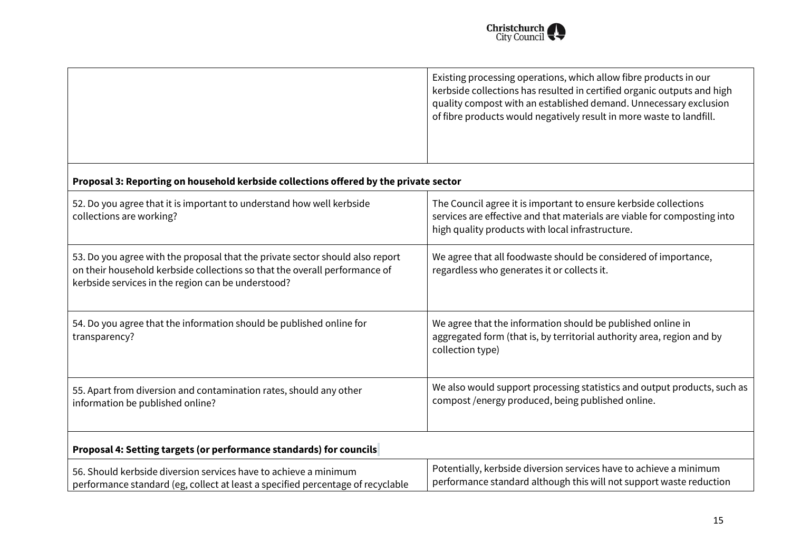

|                                                                                                                                                                                                                   | Existing processing operations, which allow fibre products in our<br>kerbside collections has resulted in certified organic outputs and high<br>quality compost with an established demand. Unnecessary exclusion<br>of fibre products would negatively result in more waste to landfill. |
|-------------------------------------------------------------------------------------------------------------------------------------------------------------------------------------------------------------------|-------------------------------------------------------------------------------------------------------------------------------------------------------------------------------------------------------------------------------------------------------------------------------------------|
| Proposal 3: Reporting on household kerbside collections offered by the private sector                                                                                                                             |                                                                                                                                                                                                                                                                                           |
| 52. Do you agree that it is important to understand how well kerbside<br>collections are working?                                                                                                                 | The Council agree it is important to ensure kerbside collections<br>services are effective and that materials are viable for composting into<br>high quality products with local infrastructure.                                                                                          |
| 53. Do you agree with the proposal that the private sector should also report<br>on their household kerbside collections so that the overall performance of<br>kerbside services in the region can be understood? | We agree that all foodwaste should be considered of importance,<br>regardless who generates it or collects it.                                                                                                                                                                            |
| 54. Do you agree that the information should be published online for<br>transparency?                                                                                                                             | We agree that the information should be published online in<br>aggregated form (that is, by territorial authority area, region and by<br>collection type)                                                                                                                                 |
| 55. Apart from diversion and contamination rates, should any other<br>information be published online?                                                                                                            | We also would support processing statistics and output products, such as<br>compost /energy produced, being published online.                                                                                                                                                             |
| Proposal 4: Setting targets (or performance standards) for councils                                                                                                                                               |                                                                                                                                                                                                                                                                                           |
| 56. Should kerbside diversion services have to achieve a minimum<br>performance standard (eg, collect at least a specified percentage of recyclable                                                               | Potentially, kerbside diversion services have to achieve a minimum<br>performance standard although this will not support waste reduction                                                                                                                                                 |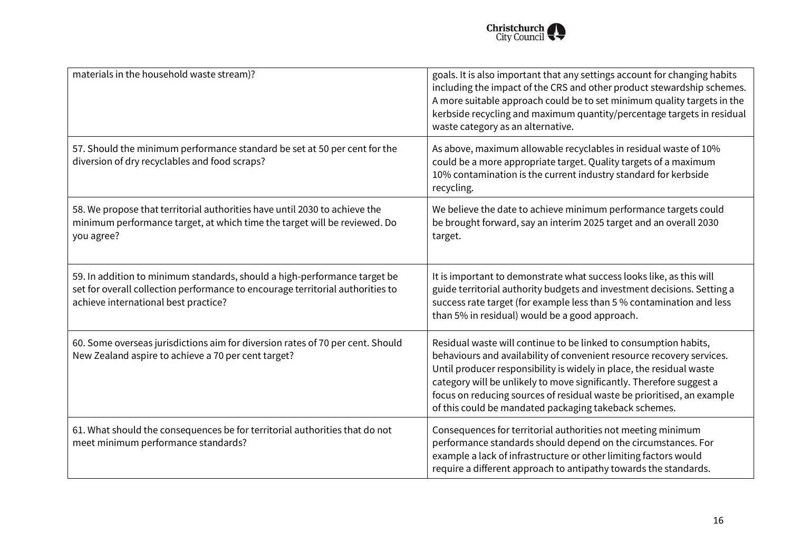

| materials in the household waste stream)?                                                                                                                                                           | goals. It is also important that any settings account for changing habits<br>including the impact of the CRS and other product stewardship schemes.<br>A more suitable approach could be to set minimum quality targets in the<br>kerbside recycling and maximum quantity/percentage targets in residual<br>waste category as an alternative.                                                                                |
|-----------------------------------------------------------------------------------------------------------------------------------------------------------------------------------------------------|------------------------------------------------------------------------------------------------------------------------------------------------------------------------------------------------------------------------------------------------------------------------------------------------------------------------------------------------------------------------------------------------------------------------------|
| 57. Should the minimum performance standard be set at 50 per cent for the<br>diversion of dry recyclables and food scraps?                                                                          | As above, maximum allowable recyclables in residual waste of 10%<br>could be a more appropriate target. Quality targets of a maximum<br>10% contamination is the current industry standard for kerbside<br>recycling.                                                                                                                                                                                                        |
| 58. We propose that territorial authorities have until 2030 to achieve the<br>minimum performance target, at which time the target will be reviewed. Do<br>you agree?                               | We believe the date to achieve minimum performance targets could<br>be brought forward, say an interim 2025 target and an overall 2030<br>target.                                                                                                                                                                                                                                                                            |
| 59. In addition to minimum standards, should a high-performance target be<br>set for overall collection performance to encourage territorial authorities to<br>achieve international best practice? | It is important to demonstrate what success looks like, as this will<br>guide territorial authority budgets and investment decisions. Setting a<br>success rate target (for example less than 5 % contamination and less<br>than 5% in residual) would be a good approach.                                                                                                                                                   |
| 60. Some overseas jurisdictions aim for diversion rates of 70 per cent. Should<br>New Zealand aspire to achieve a 70 per cent target?                                                               | Residual waste will continue to be linked to consumption habits,<br>behaviours and availability of convenient resource recovery services.<br>Until producer responsibility is widely in place, the residual waste<br>category will be unlikely to move significantly. Therefore suggest a<br>focus on reducing sources of residual waste be prioritised, an example<br>of this could be mandated packaging takeback schemes. |
| 61. What should the consequences be for territorial authorities that do not<br>meet minimum performance standards?                                                                                  | Consequences for territorial authorities not meeting minimum<br>performance standards should depend on the circumstances. For<br>example a lack of infrastructure or other limiting factors would<br>require a different approach to antipathy towards the standards.                                                                                                                                                        |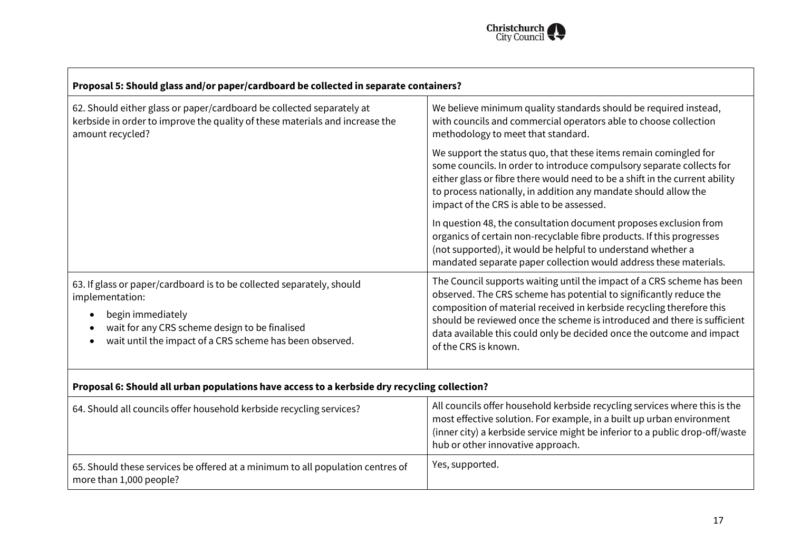

| Proposal 5: Should glass and/or paper/cardboard be collected in separate containers?                                                                                                                                        |                                                                                                                                                                                                                                                                                                                                                                                                    |
|-----------------------------------------------------------------------------------------------------------------------------------------------------------------------------------------------------------------------------|----------------------------------------------------------------------------------------------------------------------------------------------------------------------------------------------------------------------------------------------------------------------------------------------------------------------------------------------------------------------------------------------------|
| 62. Should either glass or paper/cardboard be collected separately at<br>kerbside in order to improve the quality of these materials and increase the<br>amount recycled?                                                   | We believe minimum quality standards should be required instead,<br>with councils and commercial operators able to choose collection<br>methodology to meet that standard.                                                                                                                                                                                                                         |
|                                                                                                                                                                                                                             | We support the status quo, that these items remain comingled for<br>some councils. In order to introduce compulsory separate collects for<br>either glass or fibre there would need to be a shift in the current ability<br>to process nationally, in addition any mandate should allow the<br>impact of the CRS is able to be assessed.                                                           |
|                                                                                                                                                                                                                             | In question 48, the consultation document proposes exclusion from<br>organics of certain non-recyclable fibre products. If this progresses<br>(not supported), it would be helpful to understand whether a<br>mandated separate paper collection would address these materials.                                                                                                                    |
| 63. If glass or paper/cardboard is to be collected separately, should<br>implementation:<br>begin immediately<br>wait for any CRS scheme design to be finalised<br>wait until the impact of a CRS scheme has been observed. | The Council supports waiting until the impact of a CRS scheme has been<br>observed. The CRS scheme has potential to significantly reduce the<br>composition of material received in kerbside recycling therefore this<br>should be reviewed once the scheme is introduced and there is sufficient<br>data available this could only be decided once the outcome and impact<br>of the CRS is known. |
| Proposal 6: Should all urban populations have access to a kerbside dry recycling collection?                                                                                                                                |                                                                                                                                                                                                                                                                                                                                                                                                    |

 $\Gamma$ 

| 64. Should all councils offer household kerbside recycling services?                                      | All councils offer household kerbside recycling services where this is the<br>most effective solution. For example, in a built up urban environment<br>(inner city) a kerbside service might be inferior to a public drop-off/waste<br>hub or other innovative approach. |
|-----------------------------------------------------------------------------------------------------------|--------------------------------------------------------------------------------------------------------------------------------------------------------------------------------------------------------------------------------------------------------------------------|
| 65. Should these services be offered at a minimum to all population centres of<br>more than 1,000 people? | Yes, supported.                                                                                                                                                                                                                                                          |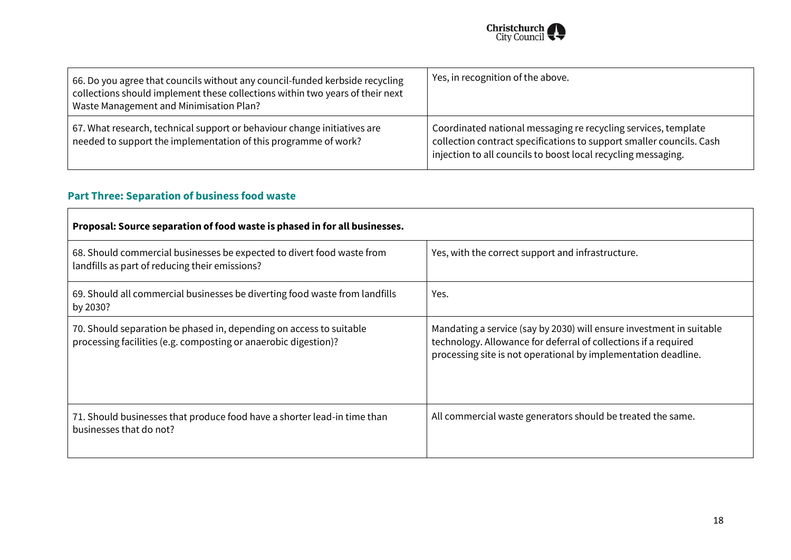

| 66. Do you agree that councils without any council-funded kerbside recycling<br>$\vert$ collections should implement these collections within two years of their next<br>Waste Management and Minimisation Plan? | Yes, in recognition of the above.                                                                                                                                                                       |
|------------------------------------------------------------------------------------------------------------------------------------------------------------------------------------------------------------------|---------------------------------------------------------------------------------------------------------------------------------------------------------------------------------------------------------|
| 67. What research, technical support or behaviour change initiatives are<br>needed to support the implementation of this programme of work?                                                                      | Coordinated national messaging re recycling services, template<br>collection contract specifications to support smaller councils. Cash<br>injection to all councils to boost local recycling messaging. |

### **Part Three: Separation of business food waste**

| Proposal: Source separation of food waste is phased in for all businesses.                                                             |                                                                                                                                                                                                           |
|----------------------------------------------------------------------------------------------------------------------------------------|-----------------------------------------------------------------------------------------------------------------------------------------------------------------------------------------------------------|
| 68. Should commercial businesses be expected to divert food waste from<br>landfills as part of reducing their emissions?               | Yes, with the correct support and infrastructure.                                                                                                                                                         |
| 69. Should all commercial businesses be diverting food waste from landfills<br>by 2030?                                                | Yes.                                                                                                                                                                                                      |
| 70. Should separation be phased in, depending on access to suitable<br>processing facilities (e.g. composting or anaerobic digestion)? | Mandating a service (say by 2030) will ensure investment in suitable<br>technology. Allowance for deferral of collections if a required<br>processing site is not operational by implementation deadline. |
| 71. Should businesses that produce food have a shorter lead-in time than<br>businesses that do not?                                    | All commercial waste generators should be treated the same.                                                                                                                                               |